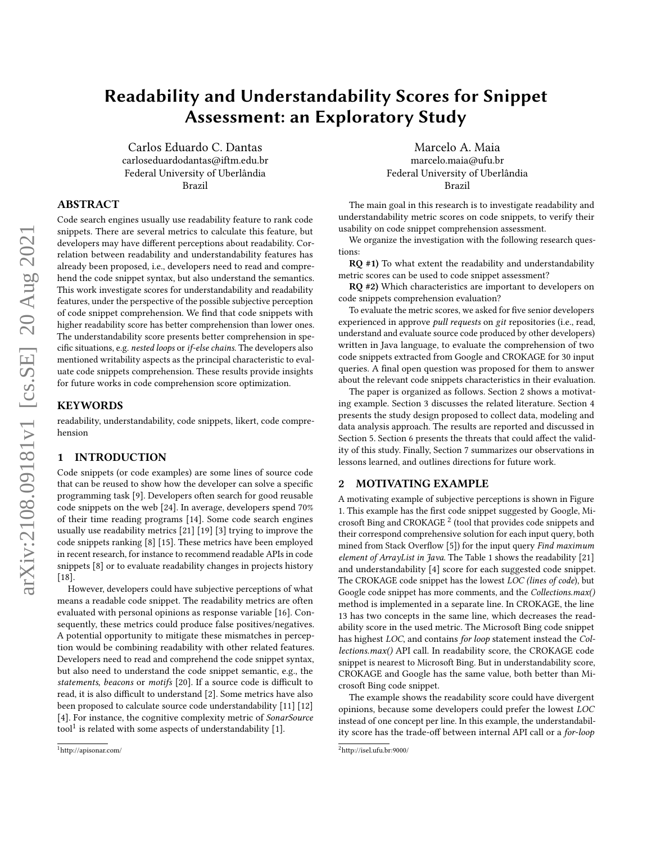# Readability and Understandability Scores for Snippet Assessment: an Exploratory Study

Carlos Eduardo C. Dantas carloseduardodantas@iftm.edu.br Federal University of Uberlândia Brazil

# ABSTRACT

Code search engines usually use readability feature to rank code snippets. There are several metrics to calculate this feature, but developers may have different perceptions about readability. Correlation between readability and understandability features has already been proposed, i.e., developers need to read and comprehend the code snippet syntax, but also understand the semantics. This work investigate scores for understandability and readability features, under the perspective of the possible subjective perception of code snippet comprehension. We find that code snippets with higher readability score has better comprehension than lower ones. The understandability score presents better comprehension in specific situations, e.g. nested loops or if-else chains. The developers also mentioned writability aspects as the principal characteristic to evaluate code snippets comprehension. These results provide insights for future works in code comprehension score optimization.

# **KEYWORDS**

readability, understandability, code snippets, likert, code comprehension

# 1 INTRODUCTION

Code snippets (or code examples) are some lines of source code that can be reused to show how the developer can solve a specific programming task [\[9\]](#page-4-0). Developers often search for good reusable code snippets on the web [\[24\]](#page-4-1). In average, developers spend 70% of their time reading programs [\[14\]](#page-4-2). Some code search engines usually use readability metrics [\[21\]](#page-4-3) [\[19\]](#page-4-4) [\[3\]](#page-4-5) trying to improve the code snippets ranking [\[8\]](#page-4-6) [\[15\]](#page-4-7). These metrics have been employed in recent research, for instance to recommend readable APIs in code snippets [\[8\]](#page-4-6) or to evaluate readability changes in projects history [\[18\]](#page-4-8).

However, developers could have subjective perceptions of what means a readable code snippet. The readability metrics are often evaluated with personal opinions as response variable [\[16\]](#page-4-9). Consequently, these metrics could produce false positives/negatives. A potential opportunity to mitigate these mismatches in perception would be combining readability with other related features. Developers need to read and comprehend the code snippet syntax, but also need to understand the code snippet semantic, e.g., the statements, beacons or motifs [\[20\]](#page-4-10). If a source code is difficult to read, it is also difficult to understand [\[2\]](#page-4-11). Some metrics have also been proposed to calculate source code understandability [\[11\]](#page-4-12) [\[12\]](#page-4-13) [\[4\]](#page-4-14). For instance, the cognitive complexity metric of SonarSource tool<sup>[1](#page-0-0)</sup> is related with some aspects of understandability [\[1\]](#page-4-15).

Marcelo A. Maia marcelo.maia@ufu.br Federal University of Uberlândia Brazil

The main goal in this research is to investigate readability and understandability metric scores on code snippets, to verify their usability on code snippet comprehension assessment.

We organize the investigation with the following research questions:

RQ #1) To what extent the readability and understandability metric scores can be used to code snippet assessment?

RQ #2) Which characteristics are important to developers on code snippets comprehension evaluation?

To evaluate the metric scores, we asked for five senior developers experienced in approve *pull requests* on git repositories (i.e., read, understand and evaluate source code produced by other developers) written in Java language, to evaluate the comprehension of two code snippets extracted from Google and CROKAGE for 30 input queries. A final open question was proposed for them to answer about the relevant code snippets characteristics in their evaluation.

The paper is organized as follows. Section 2 shows a motivating example. Section 3 discusses the related literature. Section 4 presents the study design proposed to collect data, modeling and data analysis approach. The results are reported and discussed in Section 5. Section 6 presents the threats that could affect the validity of this study. Finally, Section 7 summarizes our observations in lessons learned, and outlines directions for future work.

# 2 MOTIVATING EXAMPLE

A motivating example of subjective perceptions is shown in Figure [1.](#page-1-0) This example has the first code snippet suggested by Google, Mi-crosoft Bing and CROKAGE<sup>[2](#page-0-1)</sup> (tool that provides code snippets and their correspond comprehensive solution for each input query, both mined from Stack Overflow [\[5\]](#page-4-16)) for the input query Find maximum element of ArrayList in Java. The Table [1](#page-1-1) shows the readability [\[21\]](#page-4-3) and understandability [\[4\]](#page-4-14) score for each suggested code snippet. The CROKAGE code snippet has the lowest LOC (lines of code), but Google code snippet has more comments, and the Collections.max() method is implemented in a separate line. In CROKAGE, the line 13 has two concepts in the same line, which decreases the readability score in the used metric. The Microsoft Bing code snippet has highest LOC, and contains for loop statement instead the Collections.max() API call. In readability score, the CROKAGE code snippet is nearest to Microsoft Bing. But in understandability score, CROKAGE and Google has the same value, both better than Microsoft Bing code snippet.

The example shows the readability score could have divergent opinions, because some developers could prefer the lowest LOC instead of one concept per line. In this example, the understandability score has the trade-off between internal API call or a for-loop

<span id="page-0-0"></span><sup>1</sup>http://apisonar.com/

<span id="page-0-1"></span> $2$ http://isel.ufu.br:9000/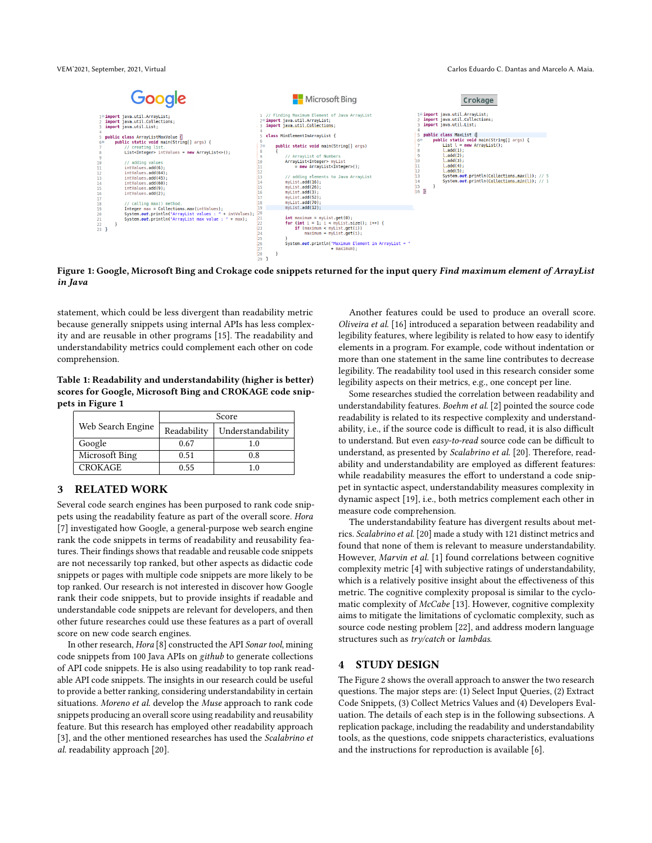<span id="page-1-0"></span>

Figure 1: Google, Microsoft Bing and Crokage code snippets returned for the input query Find maximum element of ArrayList in Java

statement, which could be less divergent than readability metric because generally snippets using internal APIs has less complexity and are reusable in other programs [\[15\]](#page-4-7). The readability and understandability metrics could complement each other on code comprehension.

<span id="page-1-1"></span>Table 1: Readability and understandability (higher is better) scores for Google, Microsoft Bing and CROKAGE code snippets in Figure [1](#page-1-0)

|                   | Score       |                   |  |
|-------------------|-------------|-------------------|--|
| Web Search Engine | Readability | Understandability |  |
| Google            | 0.67        | 1.0               |  |
| Microsoft Bing    | 0.51        | 0.8               |  |
| <b>CROKAGE</b>    | 0.55        | 1.0               |  |

# 3 RELATED WORK

Several code search engines has been purposed to rank code snippets using the readability feature as part of the overall score. Hora [\[7\]](#page-4-17) investigated how Google, a general-purpose web search engine rank the code snippets in terms of readability and reusability features. Their findings shows that readable and reusable code snippets are not necessarily top ranked, but other aspects as didactic code snippets or pages with multiple code snippets are more likely to be top ranked. Our research is not interested in discover how Google rank their code snippets, but to provide insights if readable and understandable code snippets are relevant for developers, and then other future researches could use these features as a part of overall score on new code search engines.

In other research, Hora [\[8\]](#page-4-6) constructed the API Sonar tool, mining code snippets from 100 Java APIs on github to generate collections of API code snippets. He is also using readability to top rank readable API code snippets. The insights in our research could be useful to provide a better ranking, considering understandability in certain situations. Moreno et al. develop the Muse approach to rank code snippets producing an overall score using readability and reusability feature. But this research has employed other readability approach [\[3\]](#page-4-5), and the other mentioned researches has used the Scalabrino et al. readability approach [\[20\]](#page-4-10).

Another features could be used to produce an overall score. Oliveira et al. [\[16\]](#page-4-9) introduced a separation between readability and legibility features, where legibility is related to how easy to identify elements in a program. For example, code without indentation or more than one statement in the same line contributes to decrease legibility. The readability tool used in this research consider some legibility aspects on their metrics, e.g., one concept per line.

Some researches studied the correlation between readability and understandability features. Boehm et al. [\[2\]](#page-4-11) pointed the source code readability is related to its respective complexity and understandability, i.e., if the source code is difficult to read, it is also difficult to understand. But even easy-to-read source code can be difficult to understand, as presented by Scalabrino et al. [\[20\]](#page-4-10). Therefore, readability and understandability are employed as different features: while readability measures the effort to understand a code snippet in syntactic aspect, understandability measures complexity in dynamic aspect [\[19\]](#page-4-4), i.e., both metrics complement each other in measure code comprehension.

The understandability feature has divergent results about metrics. Scalabrino et al. [\[20\]](#page-4-10) made a study with 121 distinct metrics and found that none of them is relevant to measure understandability. However, Marvin et al. [\[1\]](#page-4-15) found correlations between cognitive complexity metric [\[4\]](#page-4-14) with subjective ratings of understandability, which is a relatively positive insight about the effectiveness of this metric. The cognitive complexity proposal is similar to the cyclomatic complexity of McCabe [\[13\]](#page-4-18). However, cognitive complexity aims to mitigate the limitations of cyclomatic complexity, such as source code nesting problem [\[22\]](#page-4-19), and address modern language structures such as try/catch or lambdas.

# 4 STUDY DESIGN

The Figure [2](#page-2-0) shows the overall approach to answer the two research questions. The major steps are: (1) Select Input Queries, (2) Extract Code Snippets, (3) Collect Metrics Values and (4) Developers Evaluation. The details of each step is in the following subsections. A replication package, including the readability and understandability tools, as the questions, code snippets characteristics, evaluations and the instructions for reproduction is available [\[6\]](#page-4-20).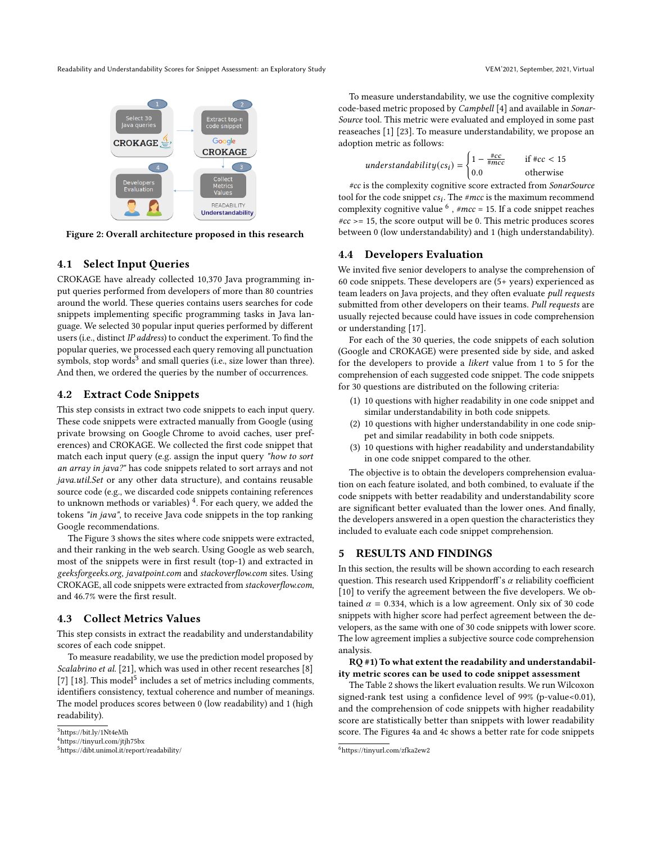<span id="page-2-0"></span>Readability and Understandability Scores for Snippet Assessment: an Exploratory Study VEM'2021, September, 2021, Virtual VEM'2021, September, 2021, Virtual



Figure 2: Overall architecture proposed in this research

# 4.1 Select Input Queries

CROKAGE have already collected 10,370 Java programming input queries performed from developers of more than 80 countries around the world. These queries contains users searches for code snippets implementing specific programming tasks in Java language. We selected 30 popular input queries performed by different users (i.e., distinct IP address) to conduct the experiment. To find the popular queries, we processed each query removing all punctuation symbols, stop words $3$  and small queries (i.e., size lower than three). And then, we ordered the queries by the number of occurrences.

# 4.2 Extract Code Snippets

This step consists in extract two code snippets to each input query. These code snippets were extracted manually from Google (using private browsing on Google Chrome to avoid caches, user preferences) and CROKAGE. We collected the first code snippet that match each input query (e.g. assign the input query "how to sort an array in java?" has code snippets related to sort arrays and not java.util.Set or any other data structure), and contains reusable source code (e.g., we discarded code snippets containing references to unknown methods or variables)  $^4$  $^4$ . For each query, we added the tokens "in java", to receive Java code snippets in the top ranking Google recommendations.

The Figure [3](#page-3-0) shows the sites where code snippets were extracted, and their ranking in the web search. Using Google as web search, most of the snippets were in first result (top-1) and extracted in geeksforgeeks.org, javatpoint.com and stackoverflow.com sites. Using CROKAGE, all code snippets were extracted from stackoverflow.com, and 46.7% were the first result.

# 4.3 Collect Metrics Values

This step consists in extract the readability and understandability scores of each code snippet.

To measure readability, we use the prediction model proposed by Scalabrino et al. [\[21\]](#page-4-3), which was used in other recent researches [\[8\]](#page-4-6) [\[7\]](#page-4-17) [\[18\]](#page-4-8). This model<sup>[5](#page-2-3)</sup> includes a set of metrics including comments, identifiers consistency, textual coherence and number of meanings. The model produces scores between 0 (low readability) and 1 (high readability).

To measure understandability, we use the cognitive complexity code-based metric proposed by Campbell [\[4\]](#page-4-14) and available in Sonar-Source tool. This metric were evaluated and employed in some past reaseaches [\[1\]](#page-4-15) [\[23\]](#page-4-21). To measure understandability, we propose an adoption metric as follows:

$$
understanding(csi) = \begin{cases} 1 - \frac{\#cc}{\#mcc} & \text{if } \#cc < 15\\ 0.0 & \text{otherwise} \end{cases}
$$

#cc is the complexity cognitive score extracted from SonarSource tool for the code snippet  $cs_i$ . The #mcc is the maximum recommend complexity cognitive value  $^6$  $^6$ , # $mcc = 15$ . If a code snippet reaches  $\#cc \geq 15$ , the score output will be 0. This metric produces scores between 0 (low understandability) and 1 (high understandability).

### 4.4 Developers Evaluation

We invited five senior developers to analyse the comprehension of 60 code snippets. These developers are (5+ years) experienced as team leaders on Java projects, and they often evaluate pull requests submitted from other developers on their teams. Pull requests are usually rejected because could have issues in code comprehension or understanding [\[17\]](#page-4-22).

For each of the 30 queries, the code snippets of each solution (Google and CROKAGE) were presented side by side, and asked for the developers to provide a likert value from 1 to 5 for the comprehension of each suggested code snippet. The code snippets for 30 questions are distributed on the following criteria:

- (1) 10 questions with higher readability in one code snippet and similar understandability in both code snippets.
- (2) 10 questions with higher understandability in one code snippet and similar readability in both code snippets.
- (3) 10 questions with higher readability and understandability in one code snippet compared to the other.

The objective is to obtain the developers comprehension evaluation on each feature isolated, and both combined, to evaluate if the code snippets with better readability and understandability score are significant better evaluated than the lower ones. And finally, the developers answered in a open question the characteristics they included to evaluate each code snippet comprehension.

# 5 RESULTS AND FINDINGS

In this section, the results will be shown according to each research question. This research used Krippendorff's  $\alpha$  reliability coefficient [\[10\]](#page-4-23) to verify the agreement between the five developers. We obtained  $\alpha = 0.334$ , which is a low agreement. Only six of 30 code snippets with higher score had perfect agreement between the developers, as the same with one of 30 code snippets with lower score. The low agreement implies a subjective source code comprehension analysis.

RQ #1) To what extent the readability and understandability metric scores can be used to code snippet assessment

The Table [2](#page-3-1) shows the likert evaluation results. We run Wilcoxon signed-rank test using a confidence level of 99% (p-value<0.01), and the comprehension of code snippets with higher readability score are statistically better than snippets with lower readability score. The Figures [4a](#page-4-24) and [4c](#page-4-24) shows a better rate for code snippets

<span id="page-2-1"></span><sup>3</sup>https://bit.ly/1Nt4eMh

<span id="page-2-2"></span><sup>4</sup>https://tinyurl.com/jtjh75bx

<span id="page-2-3"></span><sup>5</sup>https://dibt.unimol.it/report/readability/

<span id="page-2-4"></span><sup>6</sup>https://tinyurl.com/zfka2ew2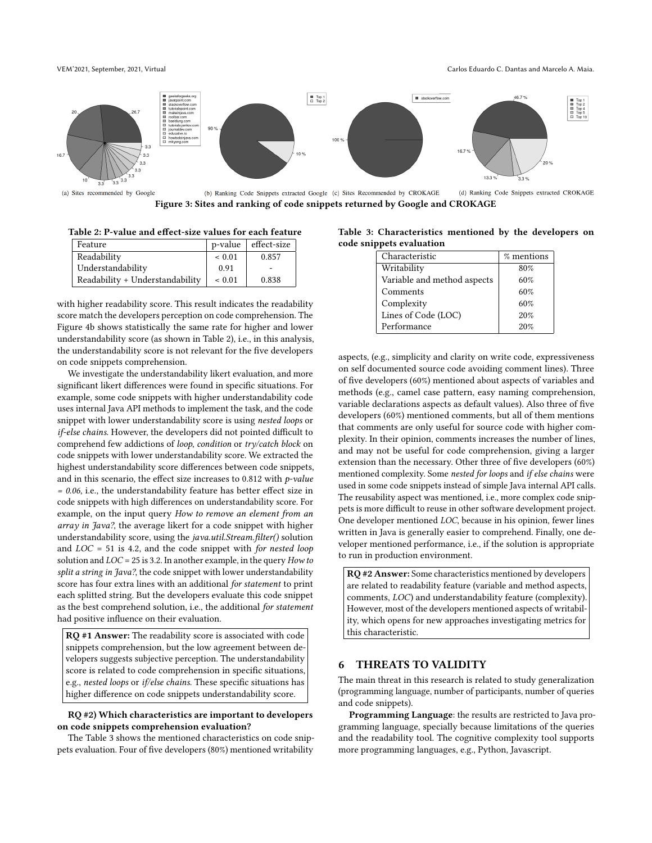<span id="page-3-0"></span>

(b) Ranking Code Snippets extracted Google (c) Sites Recommended by CROKAGE Figure 3: Sites and ranking of code snippets returned by Google and CROKAGE

<span id="page-3-1"></span>

| Table 2: P-value and effect-size values for each feature |  |  |
|----------------------------------------------------------|--|--|
|----------------------------------------------------------|--|--|

| Feature                         | p-value | effect-size |
|---------------------------------|---------|-------------|
| Readability                     | ~< 0.01 | 0.857       |
| Understandability               | 0.91    |             |
| Readability + Understandability | ~< 0.01 | 0.838       |

with higher readability score. This result indicates the readability score match the developers perception on code comprehension. The Figure [4b](#page-4-24) shows statistically the same rate for higher and lower understandability score (as shown in Table [2\)](#page-3-1), i.e., in this analysis, the understandability score is not relevant for the five developers on code snippets comprehension.

We investigate the understandability likert evaluation, and more significant likert differences were found in specific situations. For example, some code snippets with higher understandability code uses internal Java API methods to implement the task, and the code snippet with lower understandability score is using nested loops or if-else chains. However, the developers did not pointed difficult to comprehend few addictions of loop, condition or try/catch block on code snippets with lower understandability score. We extracted the highest understandability score differences between code snippets, and in this scenario, the effect size increases to 0.812 with  $p$ -value  $= 0.06$ , i.e., the understandability feature has better effect size in code snippets with high differences on understandability score. For example, on the input query How to remove an element from an array in Java?, the average likert for a code snippet with higher understandability score, using the java.util.Stream.filter() solution and  $LOC = 51$  is 4.2, and the code snippet with for nested loop solution and LOC = 25 is 3.2. In another example, in the query How to split a string in Java?, the code snippet with lower understandability score has four extra lines with an additional for statement to print each splitted string. But the developers evaluate this code snippet as the best comprehend solution, i.e., the additional for statement had positive influence on their evaluation.

RQ #1 Answer: The readability score is associated with code snippets comprehension, but the low agreement between developers suggests subjective perception. The understandability score is related to code comprehension in specific situations, e.g., nested loops or if/else chains. These specific situations has higher difference on code snippets understandability score.

# RQ #2) Which characteristics are important to developers on code snippets comprehension evaluation?

The Table [3](#page-3-2) shows the mentioned characteristics on code snippets evaluation. Four of five developers (80%) mentioned writability

<span id="page-3-2"></span>Table 3: Characteristics mentioned by the developers on code snippets evaluation

| Characteristic              | % mentions |
|-----------------------------|------------|
| Writability                 | 80%        |
| Variable and method aspects | 60%        |
| Comments                    | 60%        |
| Complexity                  | 60%        |
| Lines of Code (LOC)         | 20%        |
| Performance                 | 20%        |

aspects, (e.g., simplicity and clarity on write code, expressiveness on self documented source code avoiding comment lines). Three of five developers (60%) mentioned about aspects of variables and methods (e.g., camel case pattern, easy naming comprehension, variable declarations aspects as default values). Also three of five developers (60%) mentioned comments, but all of them mentions that comments are only useful for source code with higher complexity. In their opinion, comments increases the number of lines, and may not be useful for code comprehension, giving a larger extension than the necessary. Other three of five developers (60%) mentioned complexity. Some nested for loops and if else chains were used in some code snippets instead of simple Java internal API calls. The reusability aspect was mentioned, i.e., more complex code snippets is more difficult to reuse in other software development project. One developer mentioned LOC, because in his opinion, fewer lines written in Java is generally easier to comprehend. Finally, one developer mentioned performance, i.e., if the solution is appropriate to run in production environment.

RQ #2 Answer: Some characteristics mentioned by developers are related to readability feature (variable and method aspects, comments, LOC) and understandability feature (complexity). However, most of the developers mentioned aspects of writability, which opens for new approaches investigating metrics for this characteristic.

# 6 THREATS TO VALIDITY

The main threat in this research is related to study generalization (programming language, number of participants, number of queries and code snippets).

Programming Language: the results are restricted to Java programming language, specially because limitations of the queries and the readability tool. The cognitive complexity tool supports more programming languages, e.g., Python, Javascript.